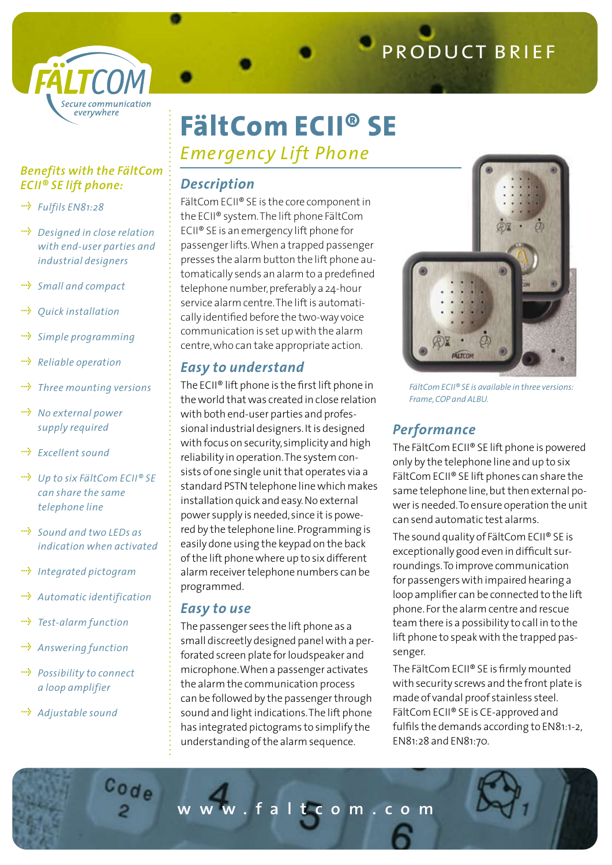

# **FältCom ECII® SE**

*Emergency Lift Phone*

#### *Benefits with the FältCom ECII® SE lift phone:*

- *Fulfils EN81:28*
- *•* **Designed in close relation**  *with end-user parties and industrial designers*
- *Small and compact*
- *Quick installation*
- *Simple programming* ....}
- *Reliable operation*
- *•••***•** Three mounting versions
- *•* **No** external power  *supply required*
- *<u><sup>\*\*</sup>* Excellent sound</u>
- *Up to six FältCom ECII® SE can share the same telephone line*
- *Sound and two LEDs as indication when activated*
- *•••* Integrated pictogram
- **<sup>••</sup>** Automatic *identification*
- *Test-alarm function*
- *••***•** Answering function
- *Possibility to connect a loop amplifier*

Code

 *Adjustable sound*

### *Description*

FältCom ECII® SE is the core component in the ECII® system. The lift phone FältCom ECII® SE is an emergency lift phone for passenger lifts. When a trapped passenger presses the alarm button the lift phone automatically sends an alarm to a predefined telephone number, preferably a 24-hour service alarm centre. The lift is automatically identified before the two-way voice communication is set up with the alarm centre, who can take appropriate action.

## *Easy to understand*

The ECII® lift phone is the first lift phone in the world that was created in close relation with both end-user parties and professional industrial designers. It is designed with focus on security, simplicity and high reliability in operation. The system consists of one single unit that operates via a standard PSTN telephone line which makes installation quick and easy. No external power supply is needed, since it is powered by the telephone line. Programming is easily done using the keypad on the back of the lift phone where up to six different alarm receiver telephone numbers can be programmed.

#### *Easy to use*

The passenger sees the lift phone as a small discreetly designed panel with a perforated screen plate for loudspeaker and microphone. When a passenger activates the alarm the communication process can be followed by the passenger through sound and light indications. The lift phone has integrated pictograms to simplify the understanding of the alarm sequence.



*FältCom ECII® SE is available in three versions: Frame,COP and ALBU.*

## *Performance*

The FältCom ECII® SE lift phone is powered only by the telephone line and up to six FältCom ECII® SE lift phones can share the same telephone line, but then external power is needed. To ensure operation the unit can send automatic test alarms.

The sound quality of FältCom ECII® SE is exceptionally good even in difficult surroundings. To improve communication for passengers with impaired hearing a loop amplifier can be connected to the lift phone. For the alarm centre and rescue team there is a possibility to call in to the lift phone to speak with the trapped passenger.

The FältCom ECII® SE is firmly mounted with security screws and the front plate is made of vandal proof stainless steel. FältCom ECII® SE is CE-approved and fulfils the demands according to EN81:1-2, EN81:28 and EN81:70.

**w w w . f a l t c o m . c o m**